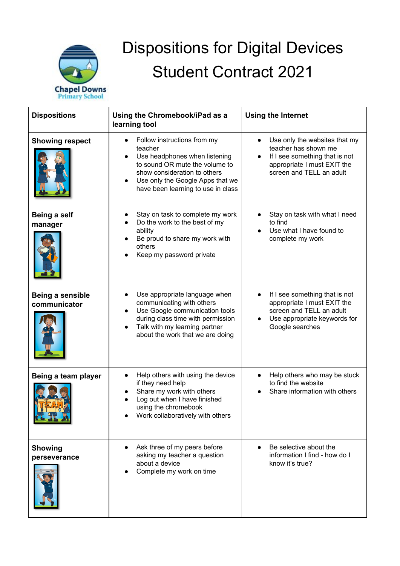

## Dispositions for Digital Devices Student Contract 2021

| <b>Dispositions</b>              | Using the Chromebook/iPad as a<br>learning tool                                                                                                                                                                                               | <b>Using the Internet</b>                                                                                                                                       |
|----------------------------------|-----------------------------------------------------------------------------------------------------------------------------------------------------------------------------------------------------------------------------------------------|-----------------------------------------------------------------------------------------------------------------------------------------------------------------|
| <b>Showing respect</b>           | Follow instructions from my<br>$\bullet$<br>teacher<br>Use headphones when listening<br>to sound OR mute the volume to<br>show consideration to others<br>Use only the Google Apps that we<br>have been learning to use in class              | Use only the websites that my<br>$\bullet$<br>teacher has shown me<br>If I see something that is not<br>appropriate I must EXIT the<br>screen and TELL an adult |
| Being a self<br>manager          | Stay on task to complete my work<br>Do the work to the best of my<br>ability<br>Be proud to share my work with<br>others<br>Keep my password private                                                                                          | Stay on task with what I need<br>to find<br>Use what I have found to<br>complete my work                                                                        |
| Being a sensible<br>communicator | Use appropriate language when<br>$\bullet$<br>communicating with others<br>Use Google communication tools<br>$\bullet$<br>during class time with permission<br>Talk with my learning partner<br>$\bullet$<br>about the work that we are doing | If I see something that is not<br>appropriate I must EXIT the<br>screen and TELL an adult<br>Use appropriate keywords for<br>Google searches                    |
| Being a team player              | Help others with using the device<br>$\bullet$<br>if they need help<br>Share my work with others<br>Log out when I have finished<br>using the chromebook<br>Work collaboratively with others                                                  | Help others who may be stuck<br>to find the website<br>Share information with others                                                                            |
| <b>Showing</b><br>perseverance   | Ask three of my peers before<br>asking my teacher a question<br>about a device<br>Complete my work on time                                                                                                                                    | Be selective about the<br>information I find - how do I<br>know it's true?                                                                                      |